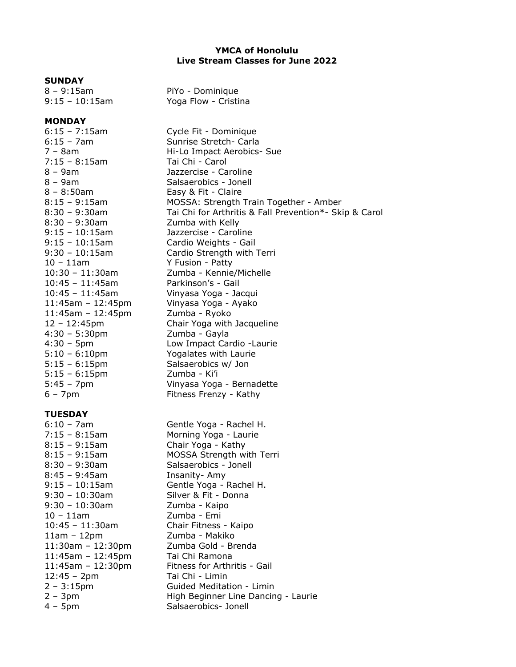# **YMCA of Honolulu Live Stream Classes for June 2022**

#### **SUNDAY**

### **MONDAY**

7:15 – 8:15am Tai Chi - Carol 8 – 9am Jazzercise - Caroline 8 – 9am Salsaerobics - Jonell 8 – 8:50am Easy & Fit - Claire 8:30 – 9:30am Zumba with Kelly 9:15 – 10:15am Jazzercise - Caroline 10 – 11am Y Fusion - Patty 10:45 – 11:45am Parkinson's - Gail 11:45am – 12:45pm Zumba - Ryoko 4:30 – 5:30pm Zumba - Gayla 5:15 – 6:15pm Salsaerobics w/ Jon 5:15 – 6:15pm Zumba - Ki'i

## **TUESDAY**

8:45 – 9:45am Insanity- Amy 9:30 – 10:30am Zumba - Kaipo 10 – 11am Zumba - Emi 11am – 12pm Zumba - Makiko 11:45am – 12:45pm Tai Chi Ramona 12:45 – 2pm Tai Chi - Limin

8 – 9:15am PiYo - Dominique 9:15 – 10:15am Yoga Flow - Cristina

6:15 – 7:15am Cycle Fit - Dominique 6:15 – 7am Sunrise Stretch- Carla 7 – 8am Hi-Lo Impact Aerobics- Sue 8:15 – 9:15am MOSSA: Strength Train Together - Amber 8:30 – 9:30am Tai Chi for Arthritis & Fall Prevention\*- Skip & Carol 9:15 – 10:15am Cardio Weights - Gail 9:30 – 10:15am Cardio Strength with Terri 10:30 – 11:30am Zumba - Kennie/Michelle 10:45 – 11:45am Vinyasa Yoga - Jacqui 11:45am – 12:45pm Vinyasa Yoga - Ayako 12 – 12:45pm Chair Yoga with Jacqueline 4:30 – 5pm Low Impact Cardio -Laurie 5:10 – 6:10pm Yogalates with Laurie 5:45 – 7pm Vinyasa Yoga - Bernadette 6 – 7pm Fitness Frenzy - Kathy

6:10 – 7am Gentle Yoga - Rachel H. 7:15 – 8:15am Morning Yoga - Laurie 8:15 – 9:15am Chair Yoga - Kathy 8:15 – 9:15am MOSSA Strength with Terri 8:30 – 9:30am Salsaerobics - Jonell 9:15 – 10:15am Gentle Yoga - Rachel H. 9:30 – 10:30am Silver & Fit - Donna 10:45 – 11:30am Chair Fitness - Kaipo 11:30am – 12:30pm Zumba Gold - Brenda 11:45am – 12:30pm Fitness for Arthritis - Gail 2 – 3:15pm Guided Meditation - Limin 2 – 3pm High Beginner Line Dancing - Laurie 4 – 5pm Salsaerobics- Jonell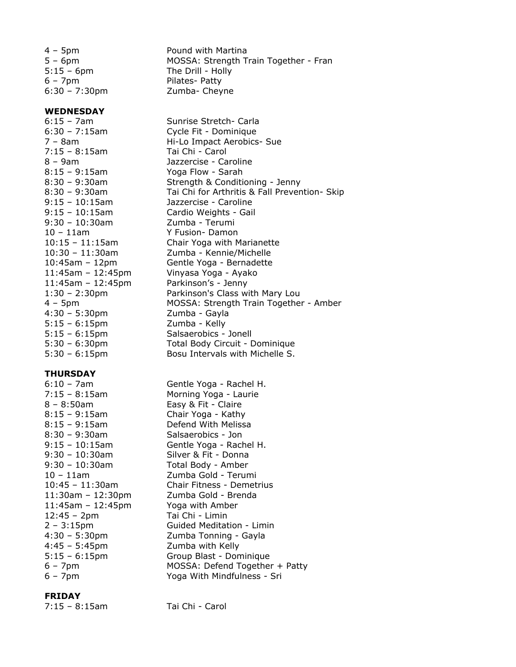6 – 7pm Pilates- Patty

## **WEDNESDAY**

7:15 – 8:15am Tai Chi - Carol 8:15 – 9:15am Yoga Flow - Sarah 9:30 – 10:30am Zumba - Terumi 10 – 11am Y Fusion- Damon 11:45am – 12:45pm Parkinson's - Jenny 4:30 – 5:30pm Zumba - Gayla 5:15 – 6:15pm Zumba - Kelly

#### **THURSDAY**

8 – 8:50am Easy & Fit - Claire 8:30 – 9:30am Salsaerobics - Jon 11:45am – 12:45pm Yoga with Amber 12:45 – 2pm Tai Chi - Limin 4:45 – 5:45pm Zumba with Kelly

#### **FRIDAY**

7:15 – 8:15am Tai Chi - Carol

4 – 5pm Pound with Martina 5 – 6pm MOSSA: Strength Train Together - Fran 5:15 – 6pm The Drill - Holly 6:30 – 7:30pm Zumba- Cheyne

6:15 – 7am Sunrise Stretch- Carla 6:30 – 7:15am Cycle Fit - Dominique 7 – 8am Hi-Lo Impact Aerobics- Sue 8 – 9am Jazzercise - Caroline 8:30 – 9:30am Strength & Conditioning - Jenny 8:30 – 9:30am Tai Chi for Arthritis & Fall Prevention- Skip 9:15 – 10:15am Jazzercise - Caroline 9:15 – 10:15am Cardio Weights - Gail 10:15 – 11:15am Chair Yoga with Marianette 10:30 – 11:30am Zumba - Kennie/Michelle 10:45am – 12pm Gentle Yoga - Bernadette 11:45am – 12:45pm Vinyasa Yoga - Ayako 1:30 – 2:30pm Parkinson's Class with Mary Lou 4 – 5pm MOSSA: Strength Train Together - Amber 5:15 – 6:15pm Salsaerobics - Jonell 5:30 – 6:30pm Total Body Circuit - Dominique 5:30 – 6:15pm Bosu Intervals with Michelle S.

6:10 – 7am Gentle Yoga - Rachel H. 7:15 – 8:15am Morning Yoga - Laurie 8:15 – 9:15am Chair Yoga - Kathy 8:15 – 9:15am Defend With Melissa 9:15 – 10:15am Gentle Yoga - Rachel H. 9:30 – 10:30am Silver & Fit - Donna 9:30 – 10:30am Total Body - Amber 10 – 11am Zumba Gold - Terumi 10:45 – 11:30am Chair Fitness - Demetrius 11:30am – 12:30pm Zumba Gold - Brenda 2 – 3:15pm Guided Meditation - Limin 4:30 – 5:30pm Zumba Tonning - Gayla 5:15 – 6:15pm Group Blast - Dominique 6 – 7pm MOSSA: Defend Together + Patty<br>6 – 7pm Yoga With Mindfulness - Sri Yoga With Mindfulness - Sri